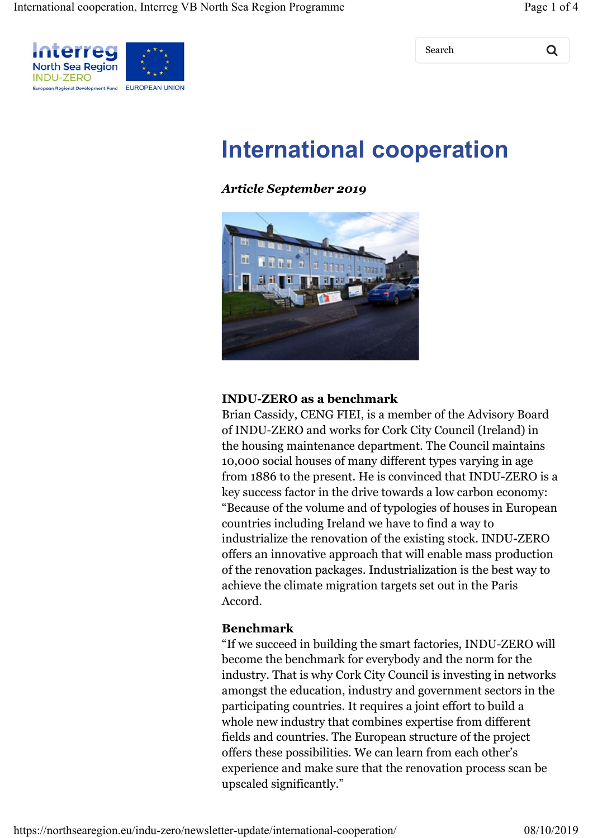Search Q



# **International cooperation**

#### *Article September 2019*



#### **INDU-ZERO as a benchmark**

Brian Cassidy, CENG FIEI, is a member of the Advisory Board of INDU-ZERO and works for Cork City Council (Ireland) in the housing maintenance department. The Council maintains 10,000 social houses of many different types varying in age from 1886 to the present. He is convinced that INDU-ZERO is a key success factor in the drive towards a low carbon economy: "Because of the volume and of typologies of houses in European countries including Ireland we have to find a way to industrialize the renovation of the existing stock. INDU-ZERO offers an innovative approach that will enable mass production of the renovation packages. Industrialization is the best way to achieve the climate migration targets set out in the Paris Accord.

#### **Benchmark**

"If we succeed in building the smart factories, INDU-ZERO will become the benchmark for everybody and the norm for the industry. That is why Cork City Council is investing in networks amongst the education, industry and government sectors in the participating countries. It requires a joint effort to build a whole new industry that combines expertise from different fields and countries. The European structure of the project offers these possibilities. We can learn from each other's experience and make sure that the renovation process scan be upscaled significantly."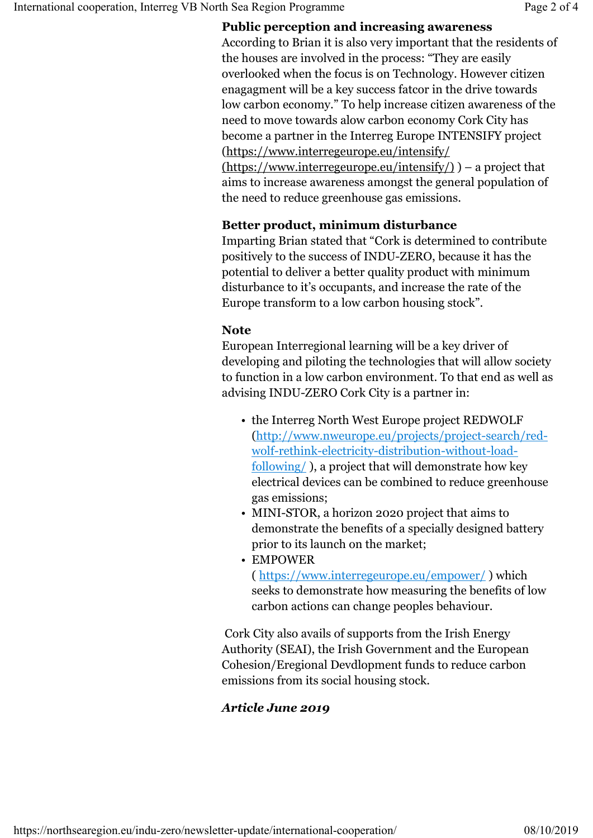#### **Public perception and increasing awareness**

According to Brian it is also very important that the residents of the houses are involved in the process: "They are easily overlooked when the focus is on Technology. However citizen enagagment will be a key success fatcor in the drive towards low carbon economy." To help increase citizen awareness of the need to move towards alow carbon economy Cork City has become a partner in the Interreg Europe INTENSIFY project (https://www.interregeurope.eu/intensify/ (https://www.interregeurope.eu/intensify/) ) – a project that aims to increase awareness amongst the general population of the need to reduce greenhouse gas emissions.

#### **Better product, minimum disturbance**

Imparting Brian stated that "Cork is determined to contribute positively to the success of INDU-ZERO, because it has the potential to deliver a better quality product with minimum disturbance to it's occupants, and increase the rate of the Europe transform to a low carbon housing stock".

#### **Note**

European Interregional learning will be a key driver of developing and piloting the technologies that will allow society to function in a low carbon environment. To that end as well as advising INDU-ZERO Cork City is a partner in:

- the Interreg North West Europe project REDWOLF (http://www.nweurope.eu/projects/project-search/redwolf-rethink-electricity-distribution-without-loadfollowing/ ), a project that will demonstrate how key electrical devices can be combined to reduce greenhouse gas emissions;
- MINI-STOR, a horizon 2020 project that aims to demonstrate the benefits of a specially designed battery prior to its launch on the market;
- EMPOWER ( https://www.interregeurope.eu/empower/ ) which

seeks to demonstrate how measuring the benefits of low carbon actions can change peoples behaviour.

 Cork City also avails of supports from the Irish Energy Authority (SEAI), the Irish Government and the European Cohesion/Eregional Devdlopment funds to reduce carbon emissions from its social housing stock.

# *Article June 2019*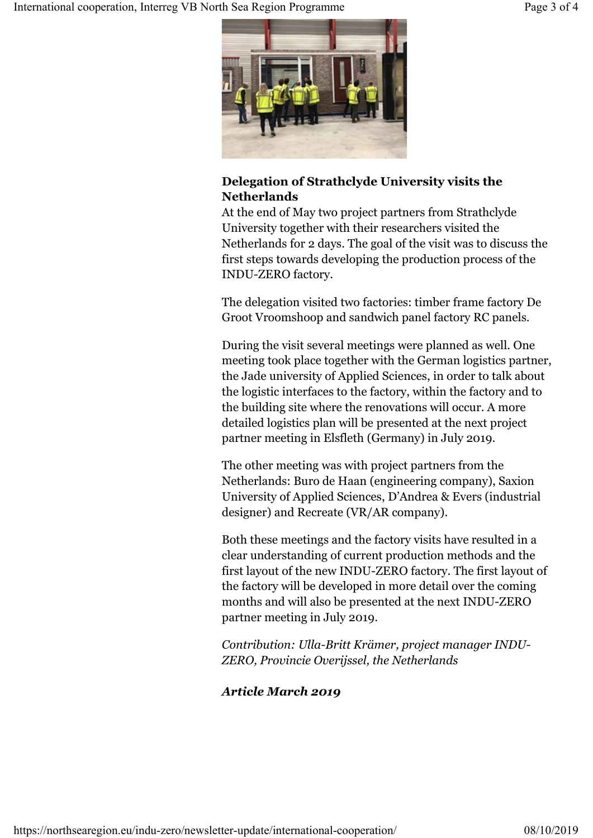

# **Delegation of Strathclyde University visits the Netherlands**

At the end of May two project partners from Strathclyde University together with their researchers visited the Netherlands for 2 days. The goal of the visit was to discuss the first steps towards developing the production process of the INDU-ZERO factory.

The delegation visited two factories: timber frame factory De Groot Vroomshoop and sandwich panel factory RC panels.

During the visit several meetings were planned as well. One meeting took place together with the German logistics partner, the Jade university of Applied Sciences, in order to talk about the logistic interfaces to the factory, within the factory and to the building site where the renovations will occur. A more detailed logistics plan will be presented at the next project partner meeting in Elsfleth (Germany) in July 2019.

The other meeting was with project partners from the Netherlands: Buro de Haan (engineering company), Saxion University of Applied Sciences, D'Andrea & Evers (industrial designer) and Recreate (VR/AR company).

Both these meetings and the factory visits have resulted in a clear understanding of current production methods and the first layout of the new INDU-ZERO factory. The first layout of the factory will be developed in more detail over the coming months and will also be presented at the next INDU-ZERO partner meeting in July 2019.

*Contribution: Ulla-Britt Krämer, project manager INDU-ZERO, Provincie Overijssel, the Netherlands*

# *Article March 2019*